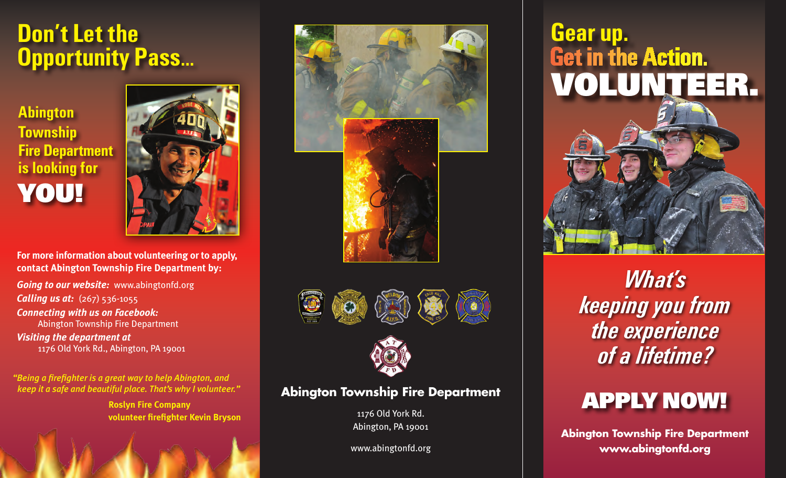### **Don't Let the Opportunity Pass...**

#### **Abington Township Fire Department is looking for YOU!**



**For more information about volunteering or to apply, contact Abington Township Fire Department by:**

*Going to our website:* www.abingtonfd.org **Calling us at:** (267) 536-1055 *Connecting with us on Facebook:*  Abington Township Fire Department *Visiting the department at* 

1176 Old York Rd., Abington, PA 19001

*"Being a firefighter is a great way to help Abington, and keep it a safe and beautiful place. That's why I volunteer."*

> **Roslyn Fire Company volunteer firefighter Kevin Bryson**







#### **Abington Township Fire Department**

1176 Old York Rd. Abington, PA 19001

www.abingtonfd.org

# **VOLUNTEER. Gear up.<br>Get in the Action.**



*What's keeping you from the experience of a lifetime?*

### **APPLY NOW!**

**Abington Township Fire Department www.abingtonfd.org**